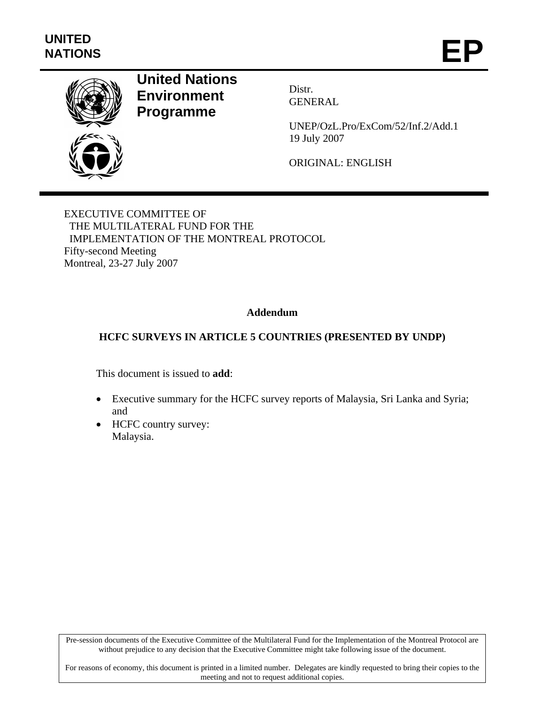

# **United Nations Environment Programme**

Distr. GENERAL

UNEP/OzL.Pro/ExCom/52/Inf.2/Add.1 19 July 2007

ORIGINAL: ENGLISH

EXECUTIVE COMMITTEE OF THE MULTILATERAL FUND FOR THE IMPLEMENTATION OF THE MONTREAL PROTOCOL Fifty-second Meeting Montreal, 23-27 July 2007

# **Addendum**

# **HCFC SURVEYS IN ARTICLE 5 COUNTRIES (PRESENTED BY UNDP)**

This document is issued to **add**:

- Executive summary for the HCFC survey reports of Malaysia, Sri Lanka and Syria; and
- HCFC country survey: Malaysia.

Pre-session documents of the Executive Committee of the Multilateral Fund for the Implementation of the Montreal Protocol are without prejudice to any decision that the Executive Committee might take following issue of the document.

For reasons of economy, this document is printed in a limited number. Delegates are kindly requested to bring their copies to the meeting and not to request additional copies.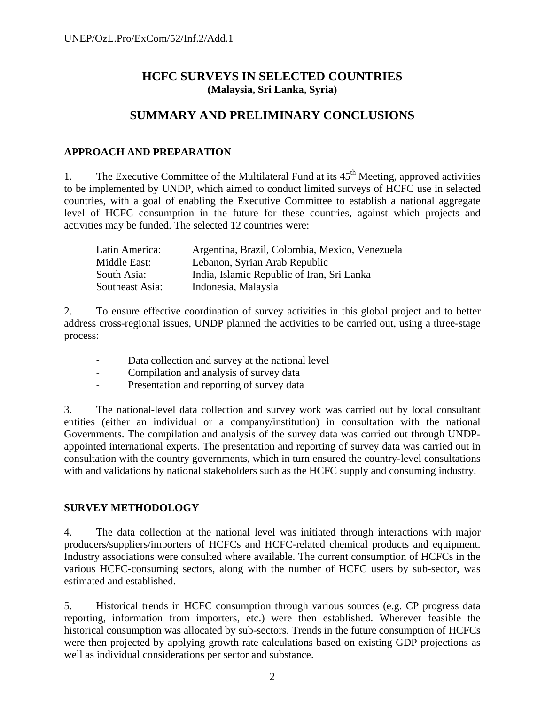# **HCFC SURVEYS IN SELECTED COUNTRIES (Malaysia, Sri Lanka, Syria)**

# **SUMMARY AND PRELIMINARY CONCLUSIONS**

# **APPROACH AND PREPARATION**

1. The Executive Committee of the Multilateral Fund at its  $45<sup>th</sup>$  Meeting, approved activities to be implemented by UNDP, which aimed to conduct limited surveys of HCFC use in selected countries, with a goal of enabling the Executive Committee to establish a national aggregate level of HCFC consumption in the future for these countries, against which projects and activities may be funded. The selected 12 countries were:

| Latin America:  | Argentina, Brazil, Colombia, Mexico, Venezuela |
|-----------------|------------------------------------------------|
| Middle East:    | Lebanon, Syrian Arab Republic                  |
| South Asia:     | India, Islamic Republic of Iran, Sri Lanka     |
| Southeast Asia: | Indonesia, Malaysia                            |

2. To ensure effective coordination of survey activities in this global project and to better address cross-regional issues, UNDP planned the activities to be carried out, using a three-stage process:

- Data collection and survey at the national level
- Compilation and analysis of survey data
- Presentation and reporting of survey data

3. The national-level data collection and survey work was carried out by local consultant entities (either an individual or a company/institution) in consultation with the national Governments. The compilation and analysis of the survey data was carried out through UNDPappointed international experts. The presentation and reporting of survey data was carried out in consultation with the country governments, which in turn ensured the country-level consultations with and validations by national stakeholders such as the HCFC supply and consuming industry.

# **SURVEY METHODOLOGY**

4. The data collection at the national level was initiated through interactions with major producers/suppliers/importers of HCFCs and HCFC-related chemical products and equipment. Industry associations were consulted where available. The current consumption of HCFCs in the various HCFC-consuming sectors, along with the number of HCFC users by sub-sector, was estimated and established.

5. Historical trends in HCFC consumption through various sources (e.g. CP progress data reporting, information from importers, etc.) were then established. Wherever feasible the historical consumption was allocated by sub-sectors. Trends in the future consumption of HCFCs were then projected by applying growth rate calculations based on existing GDP projections as well as individual considerations per sector and substance.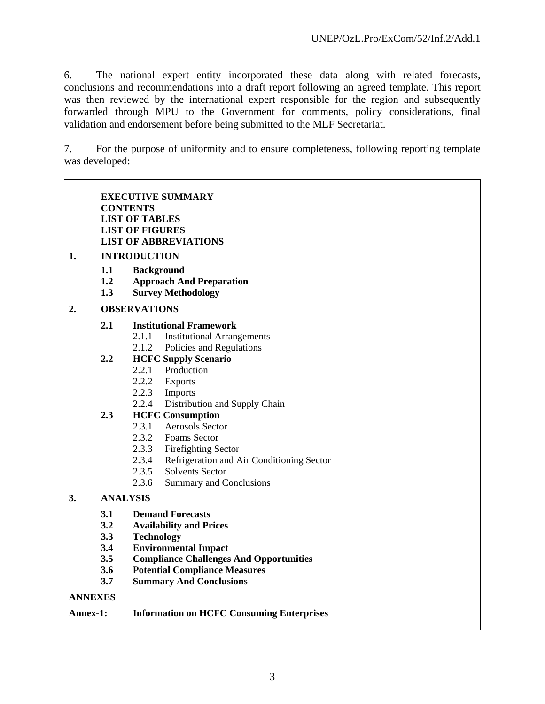٦

6. The national expert entity incorporated these data along with related forecasts, conclusions and recommendations into a draft report following an agreed template. This report was then reviewed by the international expert responsible for the region and subsequently forwarded through MPU to the Government for comments, policy considerations, final validation and endorsement before being submitted to the MLF Secretariat.

7. For the purpose of uniformity and to ensure completeness, following reporting template was developed:

|                 | <b>CONTENTS</b>                                     | <b>EXECUTIVE SUMMARY</b><br><b>LIST OF TABLES</b><br><b>LIST OF FIGURES</b>                                                                                                                                                               |  |  |  |  |
|-----------------|-----------------------------------------------------|-------------------------------------------------------------------------------------------------------------------------------------------------------------------------------------------------------------------------------------------|--|--|--|--|
| 1.              | <b>LIST OF ABBREVIATIONS</b><br><b>INTRODUCTION</b> |                                                                                                                                                                                                                                           |  |  |  |  |
|                 | 1.1<br>1.2<br>1.3                                   | <b>Background</b><br><b>Approach And Preparation</b><br><b>Survey Methodology</b>                                                                                                                                                         |  |  |  |  |
| 2.              |                                                     | <b>OBSERVATIONS</b>                                                                                                                                                                                                                       |  |  |  |  |
|                 | 2.1                                                 | <b>Institutional Framework</b><br>2.1.1 Institutional Arrangements<br>2.1.2 Policies and Regulations                                                                                                                                      |  |  |  |  |
|                 | 2.2                                                 | <b>HCFC Supply Scenario</b><br>2.2.1 Production<br>2.2.2 Exports<br>2.2.3 Imports<br>2.2.4 Distribution and Supply Chain                                                                                                                  |  |  |  |  |
|                 | 2.3                                                 | <b>HCFC Consumption</b><br>2.3.1 Aerosols Sector<br>2.3.2 Foams Sector<br>2.3.3 Firefighting Sector<br>2.3.4 Refrigeration and Air Conditioning Sector<br>Solvents Sector<br>2.3.5<br>2.3.6<br>Summary and Conclusions                    |  |  |  |  |
| 3.              | <b>ANALYSIS</b>                                     |                                                                                                                                                                                                                                           |  |  |  |  |
|                 | 3.1<br>3.2<br>3.3<br>3.4<br>3.5<br>3.6<br>3.7       | <b>Demand Forecasts</b><br><b>Availability and Prices</b><br><b>Technology</b><br><b>Environmental Impact</b><br><b>Compliance Challenges And Opportunities</b><br><b>Potential Compliance Measures</b><br><b>Summary And Conclusions</b> |  |  |  |  |
| <b>ANNEXES</b>  |                                                     |                                                                                                                                                                                                                                           |  |  |  |  |
| <b>Annex-1:</b> |                                                     | <b>Information on HCFC Consuming Enterprises</b>                                                                                                                                                                                          |  |  |  |  |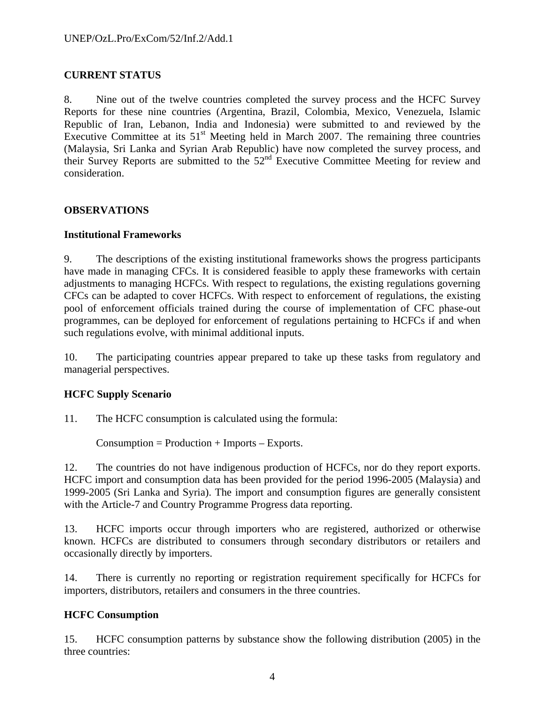# **CURRENT STATUS**

8. Nine out of the twelve countries completed the survey process and the HCFC Survey Reports for these nine countries (Argentina, Brazil, Colombia, Mexico, Venezuela, Islamic Republic of Iran, Lebanon, India and Indonesia) were submitted to and reviewed by the Executive Committee at its  $51<sup>st</sup>$  Meeting held in March 2007. The remaining three countries (Malaysia, Sri Lanka and Syrian Arab Republic) have now completed the survey process, and their Survey Reports are submitted to the 52nd Executive Committee Meeting for review and consideration.

# **OBSERVATIONS**

## **Institutional Frameworks**

9. The descriptions of the existing institutional frameworks shows the progress participants have made in managing CFCs. It is considered feasible to apply these frameworks with certain adjustments to managing HCFCs. With respect to regulations, the existing regulations governing CFCs can be adapted to cover HCFCs. With respect to enforcement of regulations, the existing pool of enforcement officials trained during the course of implementation of CFC phase-out programmes, can be deployed for enforcement of regulations pertaining to HCFCs if and when such regulations evolve, with minimal additional inputs.

10. The participating countries appear prepared to take up these tasks from regulatory and managerial perspectives.

# **HCFC Supply Scenario**

11. The HCFC consumption is calculated using the formula:

 $Consumption = Production + Imports - Exports.$ 

12. The countries do not have indigenous production of HCFCs, nor do they report exports. HCFC import and consumption data has been provided for the period 1996-2005 (Malaysia) and 1999-2005 (Sri Lanka and Syria). The import and consumption figures are generally consistent with the Article-7 and Country Programme Progress data reporting.

13. HCFC imports occur through importers who are registered, authorized or otherwise known. HCFCs are distributed to consumers through secondary distributors or retailers and occasionally directly by importers.

14. There is currently no reporting or registration requirement specifically for HCFCs for importers, distributors, retailers and consumers in the three countries.

# **HCFC Consumption**

15. HCFC consumption patterns by substance show the following distribution (2005) in the three countries: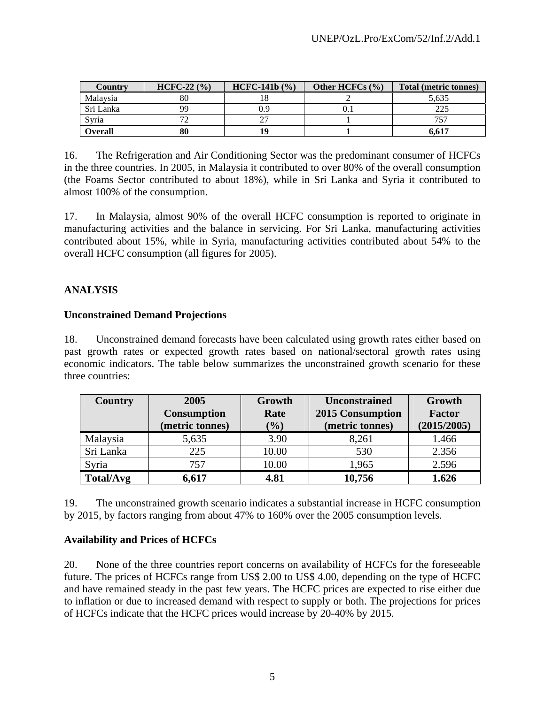| Country        | $HCFC-22 (%)$ | $HCFC-141b (%)$ | Other HCFCs $(\% )$ | Total (metric tonnes) |
|----------------|---------------|-----------------|---------------------|-----------------------|
| Malaysia       | 80            | 10              |                     | 5,635                 |
| Sri Lanka      | QQ            | 0.9             |                     | 225                   |
| Syria          |               |                 |                     | 757                   |
| <b>Overall</b> | 80            | ١q              |                     | 6.617                 |

16. The Refrigeration and Air Conditioning Sector was the predominant consumer of HCFCs in the three countries. In 2005, in Malaysia it contributed to over 80% of the overall consumption (the Foams Sector contributed to about 18%), while in Sri Lanka and Syria it contributed to almost 100% of the consumption.

17. In Malaysia, almost 90% of the overall HCFC consumption is reported to originate in manufacturing activities and the balance in servicing. For Sri Lanka, manufacturing activities contributed about 15%, while in Syria, manufacturing activities contributed about 54% to the overall HCFC consumption (all figures for 2005).

# **ANALYSIS**

# **Unconstrained Demand Projections**

18. Unconstrained demand forecasts have been calculated using growth rates either based on past growth rates or expected growth rates based on national/sectoral growth rates using economic indicators. The table below summarizes the unconstrained growth scenario for these three countries:

| <b>Country</b> | 2005               | Growth<br><b>Unconstrained</b> |                  | Growth        |  |
|----------------|--------------------|--------------------------------|------------------|---------------|--|
|                | <b>Consumption</b> | Rate                           | 2015 Consumption | <b>Factor</b> |  |
|                | (metric tonnes)    | $(\%)$                         | (metric tonnes)  | (2015/2005)   |  |
| Malaysia       | 5,635              | 3.90                           | 8,261            | 1.466         |  |
| Sri Lanka      | 225                | 10.00                          | 530              | 2.356         |  |
| Syria          | 757                | 10.00                          | 1,965            | 2.596         |  |
| Total/Avg      | 5,617              | 4.81                           | 10,756           | 1.626         |  |

19. The unconstrained growth scenario indicates a substantial increase in HCFC consumption by 2015, by factors ranging from about 47% to 160% over the 2005 consumption levels.

# **Availability and Prices of HCFCs**

20. None of the three countries report concerns on availability of HCFCs for the foreseeable future. The prices of HCFCs range from US\$ 2.00 to US\$ 4.00, depending on the type of HCFC and have remained steady in the past few years. The HCFC prices are expected to rise either due to inflation or due to increased demand with respect to supply or both. The projections for prices of HCFCs indicate that the HCFC prices would increase by 20-40% by 2015.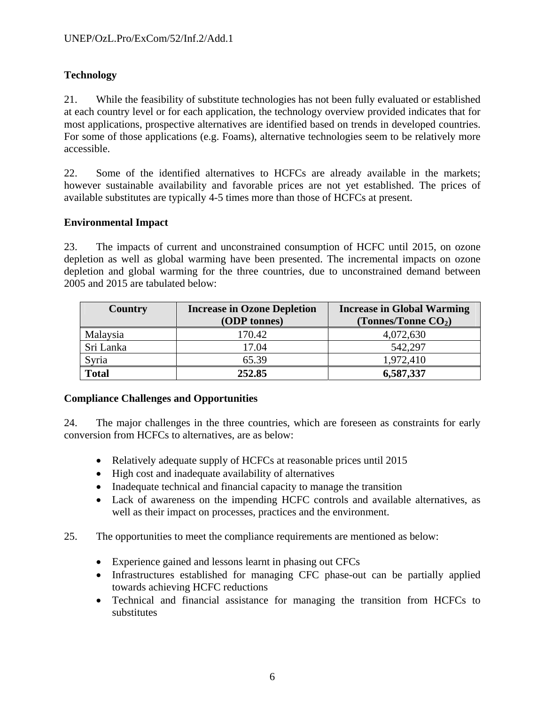# **Technology**

21. While the feasibility of substitute technologies has not been fully evaluated or established at each country level or for each application, the technology overview provided indicates that for most applications, prospective alternatives are identified based on trends in developed countries. For some of those applications (e.g. Foams), alternative technologies seem to be relatively more accessible.

22. Some of the identified alternatives to HCFCs are already available in the markets; however sustainable availability and favorable prices are not yet established. The prices of available substitutes are typically 4-5 times more than those of HCFCs at present.

# **Environmental Impact**

23. The impacts of current and unconstrained consumption of HCFC until 2015, on ozone depletion as well as global warming have been presented. The incremental impacts on ozone depletion and global warming for the three countries, due to unconstrained demand between 2005 and 2015 are tabulated below:

| Country      | <b>Increase in Ozone Depletion</b> | <b>Increase in Global Warming</b> |  |  |
|--------------|------------------------------------|-----------------------------------|--|--|
|              | (ODP tonnes)                       | (Tonnes/Tonne $CO2$ )             |  |  |
| Malaysia     | 170.42                             | 4,072,630                         |  |  |
| Sri Lanka    | 17.04                              | 542,297                           |  |  |
| Syria        | 65.39                              | 1,972,410                         |  |  |
| <b>Total</b> | 252.85                             | 6,587,337                         |  |  |

# **Compliance Challenges and Opportunities**

24. The major challenges in the three countries, which are foreseen as constraints for early conversion from HCFCs to alternatives, are as below:

- Relatively adequate supply of HCFCs at reasonable prices until 2015
- High cost and inadequate availability of alternatives
- Inadequate technical and financial capacity to manage the transition
- Lack of awareness on the impending HCFC controls and available alternatives, as well as their impact on processes, practices and the environment.
- 25. The opportunities to meet the compliance requirements are mentioned as below:
	- Experience gained and lessons learnt in phasing out CFCs
	- Infrastructures established for managing CFC phase-out can be partially applied towards achieving HCFC reductions
	- Technical and financial assistance for managing the transition from HCFCs to substitutes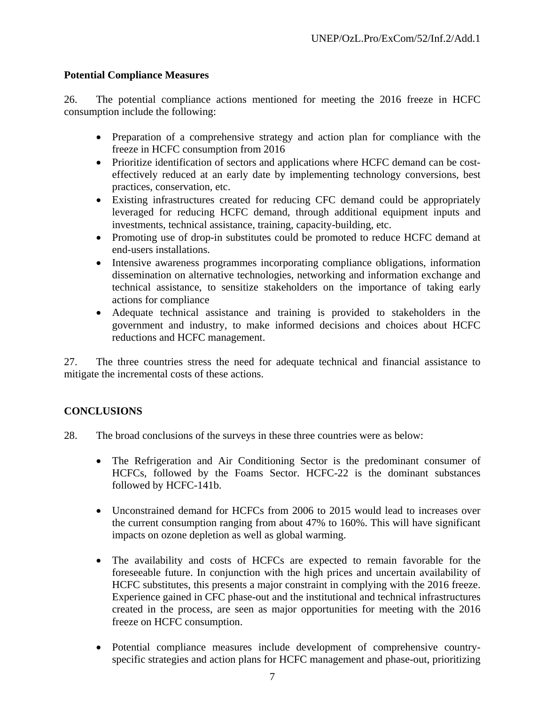# **Potential Compliance Measures**

26. The potential compliance actions mentioned for meeting the 2016 freeze in HCFC consumption include the following:

- Preparation of a comprehensive strategy and action plan for compliance with the freeze in HCFC consumption from 2016
- Prioritize identification of sectors and applications where HCFC demand can be costeffectively reduced at an early date by implementing technology conversions, best practices, conservation, etc.
- Existing infrastructures created for reducing CFC demand could be appropriately leveraged for reducing HCFC demand, through additional equipment inputs and investments, technical assistance, training, capacity-building, etc.
- Promoting use of drop-in substitutes could be promoted to reduce HCFC demand at end-users installations.
- Intensive awareness programmes incorporating compliance obligations, information dissemination on alternative technologies, networking and information exchange and technical assistance, to sensitize stakeholders on the importance of taking early actions for compliance
- Adequate technical assistance and training is provided to stakeholders in the government and industry, to make informed decisions and choices about HCFC reductions and HCFC management.

27. The three countries stress the need for adequate technical and financial assistance to mitigate the incremental costs of these actions.

# **CONCLUSIONS**

28. The broad conclusions of the surveys in these three countries were as below:

- The Refrigeration and Air Conditioning Sector is the predominant consumer of HCFCs, followed by the Foams Sector. HCFC-22 is the dominant substances followed by HCFC-141b.
- Unconstrained demand for HCFCs from 2006 to 2015 would lead to increases over the current consumption ranging from about 47% to 160%. This will have significant impacts on ozone depletion as well as global warming.
- The availability and costs of HCFCs are expected to remain favorable for the foreseeable future. In conjunction with the high prices and uncertain availability of HCFC substitutes, this presents a major constraint in complying with the 2016 freeze. Experience gained in CFC phase-out and the institutional and technical infrastructures created in the process, are seen as major opportunities for meeting with the 2016 freeze on HCFC consumption.
- Potential compliance measures include development of comprehensive countryspecific strategies and action plans for HCFC management and phase-out, prioritizing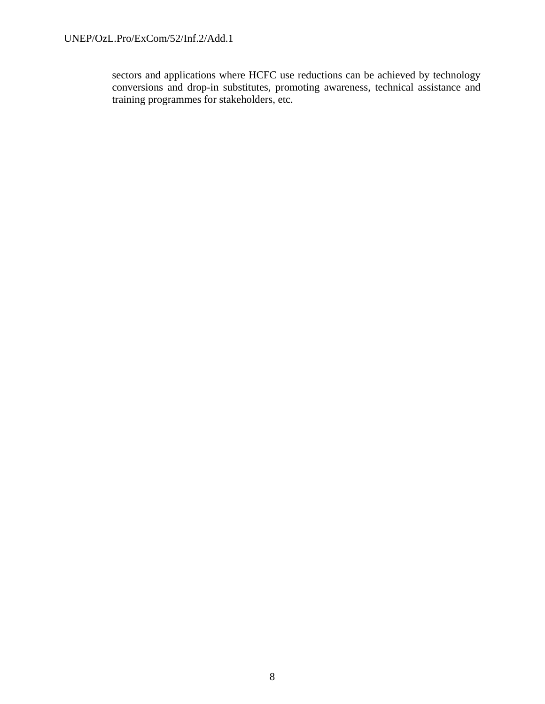sectors and applications where HCFC use reductions can be achieved by technology conversions and drop-in substitutes, promoting awareness, technical assistance and training programmes for stakeholders, etc.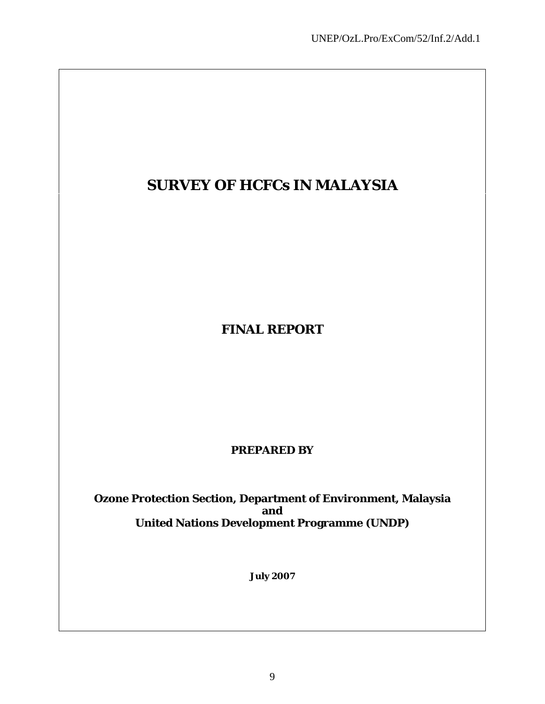# **SURVEY OF HCFCs IN MALAYSIA**

**FINAL REPORT** 

**PREPARED BY** 

**Ozone Protection Section, Department of Environment, Malaysia and United Nations Development Programme (UNDP)**

**July 2007**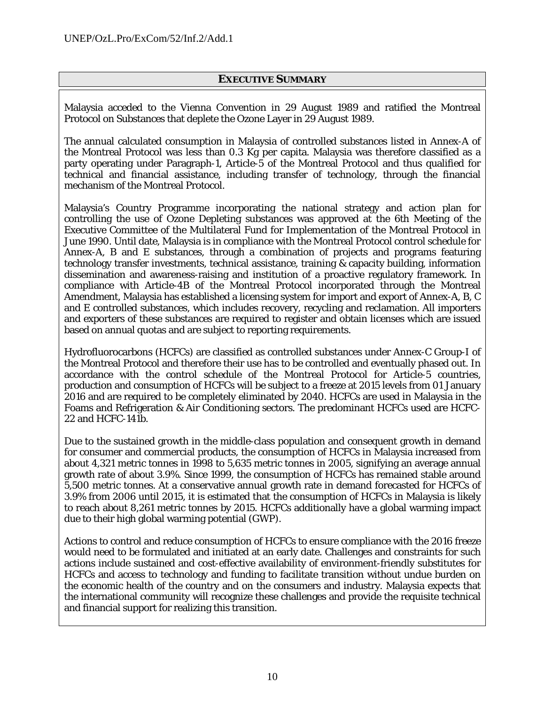#### **EXECUTIVE SUMMARY**

Malaysia acceded to the Vienna Convention in 29 August 1989 and ratified the Montreal Protocol on Substances that deplete the Ozone Layer in 29 August 1989.

The annual calculated consumption in Malaysia of controlled substances listed in Annex-A of the Montreal Protocol was less than 0.3 Kg per capita. Malaysia was therefore classified as a party operating under Paragraph-1, Article-5 of the Montreal Protocol and thus qualified for technical and financial assistance, including transfer of technology, through the financial mechanism of the Montreal Protocol.

Malaysia's Country Programme incorporating the national strategy and action plan for controlling the use of Ozone Depleting substances was approved at the 6th Meeting of the Executive Committee of the Multilateral Fund for Implementation of the Montreal Protocol in June 1990. Until date, Malaysia is in compliance with the Montreal Protocol control schedule for Annex-A, B and E substances, through a combination of projects and programs featuring technology transfer investments, technical assistance, training & capacity building, information dissemination and awareness-raising and institution of a proactive regulatory framework. In compliance with Article-4B of the Montreal Protocol incorporated through the Montreal Amendment, Malaysia has established a licensing system for import and export of Annex-A, B, C and E controlled substances, which includes recovery, recycling and reclamation. All importers and exporters of these substances are required to register and obtain licenses which are issued based on annual quotas and are subject to reporting requirements.

Hydrofluorocarbons (HCFCs) are classified as controlled substances under Annex-C Group-I of the Montreal Protocol and therefore their use has to be controlled and eventually phased out. In accordance with the control schedule of the Montreal Protocol for Article-5 countries, production and consumption of HCFCs will be subject to a freeze at 2015 levels from 01 January 2016 and are required to be completely eliminated by 2040. HCFCs are used in Malaysia in the Foams and Refrigeration & Air Conditioning sectors. The predominant HCFCs used are HCFC-22 and HCFC-141b.

Due to the sustained growth in the middle-class population and consequent growth in demand for consumer and commercial products, the consumption of HCFCs in Malaysia increased from about 4,321 metric tonnes in 1998 to 5,635 metric tonnes in 2005, signifying an average annual growth rate of about 3.9%. Since 1999, the consumption of HCFCs has remained stable around 5,500 metric tonnes. At a conservative annual growth rate in demand forecasted for HCFCs of 3.9% from 2006 until 2015, it is estimated that the consumption of HCFCs in Malaysia is likely to reach about 8,261 metric tonnes by 2015. HCFCs additionally have a global warming impact due to their high global warming potential (GWP).

Actions to control and reduce consumption of HCFCs to ensure compliance with the 2016 freeze would need to be formulated and initiated at an early date. Challenges and constraints for such actions include sustained and cost-effective availability of environment-friendly substitutes for HCFCs and access to technology and funding to facilitate transition without undue burden on the economic health of the country and on the consumers and industry. Malaysia expects that the international community will recognize these challenges and provide the requisite technical and financial support for realizing this transition.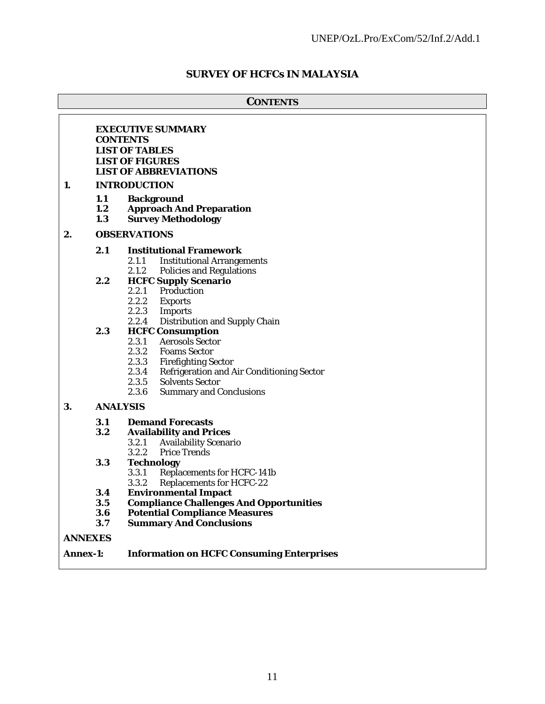# **SURVEY OF HCFCs IN MALAYSIA**

|    | <b>CONTENTS</b>                                                                                                                                       |                                                                                                                                                                                                                                                                       |  |  |  |
|----|-------------------------------------------------------------------------------------------------------------------------------------------------------|-----------------------------------------------------------------------------------------------------------------------------------------------------------------------------------------------------------------------------------------------------------------------|--|--|--|
| 1. | <b>EXECUTIVE SUMMARY</b><br><b>CONTENTS</b><br><b>LIST OF TABLES</b><br><b>LIST OF FIGURES</b><br><b>LIST OF ABBREVIATIONS</b><br><b>INTRODUCTION</b> |                                                                                                                                                                                                                                                                       |  |  |  |
|    | 1.1<br>1.2<br>1.3                                                                                                                                     | <b>Background</b><br><b>Approach And Preparation</b><br><b>Survey Methodology</b>                                                                                                                                                                                     |  |  |  |
| 2. |                                                                                                                                                       | <b>OBSERVATIONS</b>                                                                                                                                                                                                                                                   |  |  |  |
|    | 2.1                                                                                                                                                   | <b>Institutional Framework</b><br>2.1.1<br><b>Institutional Arrangements</b><br>2.1.2 Policies and Regulations                                                                                                                                                        |  |  |  |
|    | 2.2                                                                                                                                                   | <b>HCFC Supply Scenario</b><br>2.2.1<br>Production<br>2.2.2<br><b>Exports</b><br>2.2.3<br><b>Imports</b><br>2.2.4<br>Distribution and Supply Chain                                                                                                                    |  |  |  |
|    | 2.3                                                                                                                                                   | <b>HCFC Consumption</b><br>2.3.1<br><b>Aerosols Sector</b><br>2.3.2<br><b>Foams Sector</b><br>2.3.3<br><b>Firefighting Sector</b><br>2.3.4<br>Refrigeration and Air Conditioning Sector<br>2.3.5<br><b>Solvents Sector</b><br>2.3.6<br><b>Summary and Conclusions</b> |  |  |  |
| 3. |                                                                                                                                                       | <b>ANALYSIS</b>                                                                                                                                                                                                                                                       |  |  |  |
|    | 3.1<br>3.2                                                                                                                                            | <b>Demand Forecasts</b><br><b>Availability and Prices</b><br><b>Availability Scenario</b><br>3.2.1<br>3.2.2<br><b>Price Trends</b>                                                                                                                                    |  |  |  |
|    | 3.3                                                                                                                                                   | <b>Technology</b><br>3.3.1<br><b>Replacements for HCFC-141b</b><br>3.3.2<br><b>Replacements for HCFC-22</b>                                                                                                                                                           |  |  |  |
|    | 3.4                                                                                                                                                   | <b>Environmental Impact</b>                                                                                                                                                                                                                                           |  |  |  |
|    | 3.5                                                                                                                                                   | <b>Compliance Challenges And Opportunities</b>                                                                                                                                                                                                                        |  |  |  |
|    | 3.6                                                                                                                                                   | <b>Potential Compliance Measures</b>                                                                                                                                                                                                                                  |  |  |  |
|    | 3.7                                                                                                                                                   | <b>Summary And Conclusions</b>                                                                                                                                                                                                                                        |  |  |  |
|    | <b>ANNEXES</b>                                                                                                                                        |                                                                                                                                                                                                                                                                       |  |  |  |

**Annex-1: Information on HCFC Consuming Enterprises**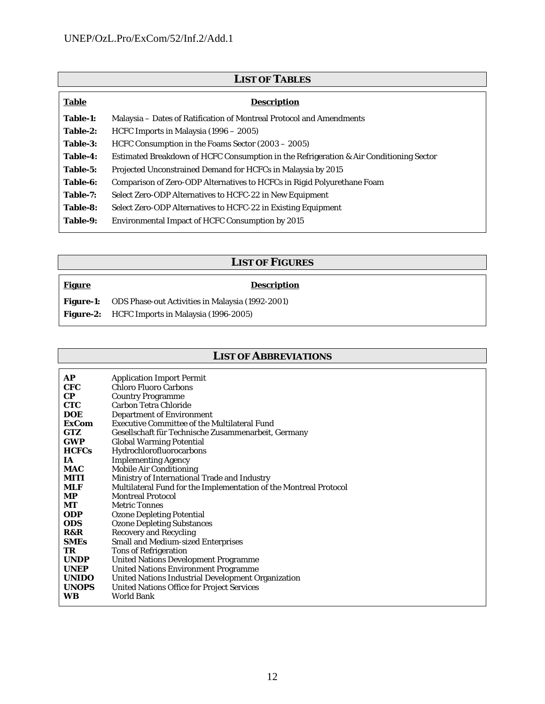| <b>LIST OF TABLES</b> |                                                                                        |  |  |
|-----------------------|----------------------------------------------------------------------------------------|--|--|
| <b>Table</b>          | <b>Description</b>                                                                     |  |  |
| Table-1:              | Malaysia - Dates of Ratification of Montreal Protocol and Amendments                   |  |  |
| Table-2:              | HCFC Imports in Malaysia (1996 – 2005)                                                 |  |  |
| Table-3:              | HCFC Consumption in the Foams Sector (2003 – 2005)                                     |  |  |
| Table-4:              | Estimated Breakdown of HCFC Consumption in the Refrigeration & Air Conditioning Sector |  |  |
| Table-5:              | Projected Unconstrained Demand for HCFCs in Malaysia by 2015                           |  |  |
| Table-6:              | Comparison of Zero-ODP Alternatives to HCFCs in Rigid Polyurethane Foam                |  |  |
| Table-7:              | Select Zero-ODP Alternatives to HCFC-22 in New Equipment                               |  |  |
| Table-8:              | Select Zero-ODP Alternatives to HCFC-22 in Existing Equipment                          |  |  |
| Table-9:              | <b>Environmental Impact of HCFC Consumption by 2015</b>                                |  |  |

# **LIST OF FIGURES**

# **Figure**

# **Description**

| <b>Figure-1:</b> | ODS Phase-out Activities in Malaysia (1992-2001) |
|------------------|--------------------------------------------------|
| <b>Figure-2:</b> | HCFC Imports in Malaysia (1996-2005)             |

# **LIST OF ABBREVIATIONS**

| AP           |                                                                   |
|--------------|-------------------------------------------------------------------|
|              | <b>Application Import Permit</b>                                  |
| CFC          | <b>Chloro Fluoro Carbons</b>                                      |
| <b>CP</b>    | <b>Country Programme</b>                                          |
| <b>CTC</b>   | <b>Carbon Tetra Chloride</b>                                      |
| DOE          | <b>Department of Environment</b>                                  |
| <b>ExCom</b> | <b>Executive Committee of the Multilateral Fund</b>               |
| <b>GTZ</b>   | Gesellschaft für Technische Zusammenarbeit, Germany               |
| <b>GWP</b>   | <b>Global Warming Potential</b>                                   |
| <b>HCFCs</b> | Hydrochlorofluorocarbons                                          |
| TA.          | <b>Implementing Agency</b>                                        |
| MAC          | <b>Mobile Air Conditioning</b>                                    |
| MITI         | Ministry of International Trade and Industry                      |
| MLF          | Multilateral Fund for the Implementation of the Montreal Protocol |
| MP.          | <b>Montreal Protocol</b>                                          |
| MТ           | <b>Metric Tonnes</b>                                              |
| <b>ODP</b>   | <b>Ozone Depleting Potential</b>                                  |
| <b>ODS</b>   | <b>Ozone Depleting Substances</b>                                 |
| R&R          | <b>Recovery and Recycling</b>                                     |
| SMEs         | <b>Small and Medium-sized Enterprises</b>                         |
| TR           | <b>Tons of Refrigeration</b>                                      |
| <b>UNDP</b>  | <b>United Nations Development Programme</b>                       |
| <b>UNEP</b>  | <b>United Nations Environment Programme</b>                       |
| <b>UNIDO</b> | United Nations Industrial Development Organization                |
| <b>UNOPS</b> | <b>United Nations Office for Project Services</b>                 |
| WB           | World Bank                                                        |
|              |                                                                   |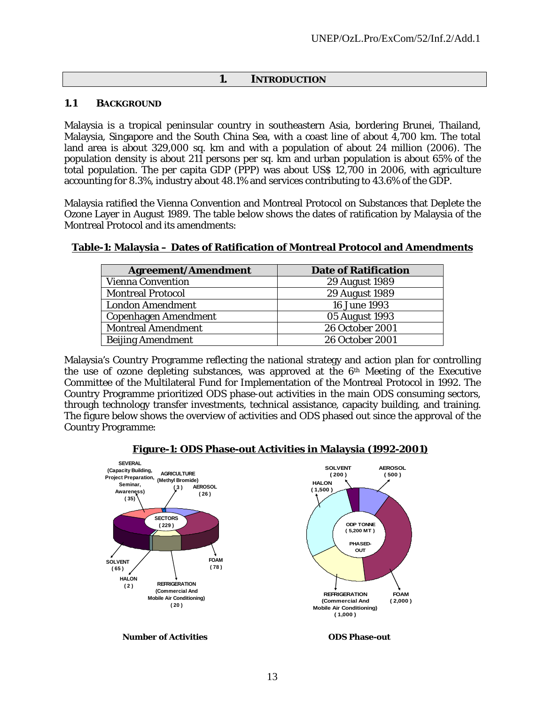#### **1. INTRODUCTION**

#### **1.1 BACKGROUND**

Malaysia is a tropical peninsular country in southeastern Asia, bordering Brunei, Thailand, Malaysia, Singapore and the South China Sea, with a coast line of about 4,700 km. The total land area is about 329,000 sq. km and with a population of about 24 million (2006). The population density is about 211 persons per sq. km and urban population is about 65% of the total population. The per capita GDP (PPP) was about US\$ 12,700 in 2006, with agriculture accounting for 8.3%, industry about 48.1% and services contributing to 43.6% of the GDP.

Malaysia ratified the Vienna Convention and Montreal Protocol on Substances that Deplete the Ozone Layer in August 1989. The table below shows the dates of ratification by Malaysia of the Montreal Protocol and its amendments:

#### **Table-1: Malaysia – Dates of Ratification of Montreal Protocol and Amendments**

| <b>Agreement/Amendment</b>  | <b>Date of Ratification</b> |
|-----------------------------|-----------------------------|
| <b>Vienna Convention</b>    | 29 August 1989              |
| <b>Montreal Protocol</b>    | 29 August 1989              |
| <b>London Amendment</b>     | 16 June 1993                |
| <b>Copenhagen Amendment</b> | 05 August 1993              |
| <b>Montreal Amendment</b>   | 26 October 2001             |
| <b>Beijing Amendment</b>    | 26 October 2001             |

Malaysia's Country Programme reflecting the national strategy and action plan for controlling the use of ozone depleting substances, was approved at the 6th Meeting of the Executive Committee of the Multilateral Fund for Implementation of the Montreal Protocol in 1992. The Country Programme prioritized ODS phase-out activities in the main ODS consuming sectors, through technology transfer investments, technical assistance, capacity building, and training. The figure below shows the overview of activities and ODS phased out since the approval of the Country Programme:



#### **Figure-1: ODS Phase-out Activities in Malaysia (1992-2001)**

 **Number of Activities ODS Phase-out**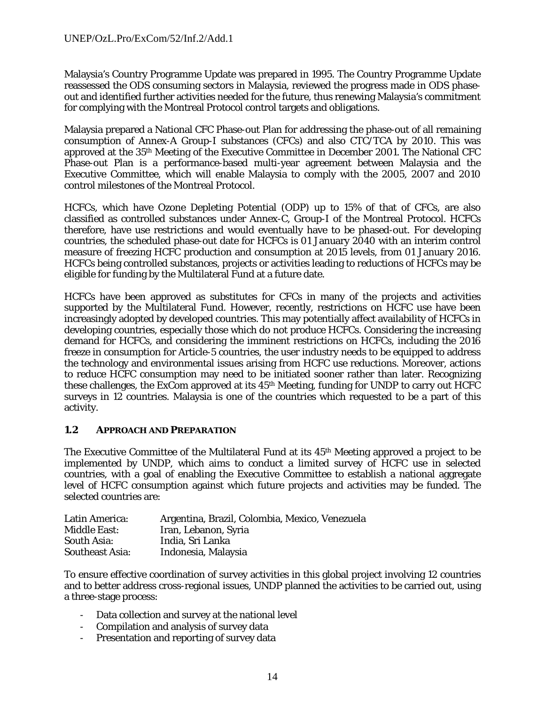Malaysia's Country Programme Update was prepared in 1995. The Country Programme Update reassessed the ODS consuming sectors in Malaysia, reviewed the progress made in ODS phaseout and identified further activities needed for the future, thus renewing Malaysia's commitment for complying with the Montreal Protocol control targets and obligations.

Malaysia prepared a National CFC Phase-out Plan for addressing the phase-out of all remaining consumption of Annex-A Group-I substances (CFCs) and also CTC/TCA by 2010. This was approved at the 35th Meeting of the Executive Committee in December 2001. The National CFC Phase-out Plan is a performance-based multi-year agreement between Malaysia and the Executive Committee, which will enable Malaysia to comply with the 2005, 2007 and 2010 control milestones of the Montreal Protocol.

HCFCs, which have Ozone Depleting Potential (ODP) up to 15% of that of CFCs, are also classified as controlled substances under Annex-C, Group-I of the Montreal Protocol. HCFCs therefore, have use restrictions and would eventually have to be phased-out. For developing countries, the scheduled phase-out date for HCFCs is 01 January 2040 with an interim control measure of freezing HCFC production and consumption at 2015 levels, from 01 January 2016. HCFCs being controlled substances, projects or activities leading to reductions of HCFCs may be eligible for funding by the Multilateral Fund at a future date.

HCFCs have been approved as substitutes for CFCs in many of the projects and activities supported by the Multilateral Fund. However, recently, restrictions on HCFC use have been increasingly adopted by developed countries. This may potentially affect availability of HCFCs in developing countries, especially those which do not produce HCFCs. Considering the increasing demand for HCFCs, and considering the imminent restrictions on HCFCs, including the 2016 freeze in consumption for Article-5 countries, the user industry needs to be equipped to address the technology and environmental issues arising from HCFC use reductions. Moreover, actions to reduce HCFC consumption may need to be initiated sooner rather than later. Recognizing these challenges, the ExCom approved at its 45th Meeting, funding for UNDP to carry out HCFC surveys in 12 countries. Malaysia is one of the countries which requested to be a part of this activity.

#### **1.2 APPROACH AND PREPARATION**

The Executive Committee of the Multilateral Fund at its 45th Meeting approved a project to be implemented by UNDP, which aims to conduct a limited survey of HCFC use in selected countries, with a goal of enabling the Executive Committee to establish a national aggregate level of HCFC consumption against which future projects and activities may be funded. The selected countries are:

| Latin America:         | Argentina, Brazil, Colombia, Mexico, Venezuela |
|------------------------|------------------------------------------------|
| <b>Middle East:</b>    | Iran, Lebanon, Syria                           |
| South Asia:            | India, Sri Lanka                               |
| <b>Southeast Asia:</b> | Indonesia, Malaysia                            |

To ensure effective coordination of survey activities in this global project involving 12 countries and to better address cross-regional issues, UNDP planned the activities to be carried out, using a three-stage process:

- Data collection and survey at the national level
- Compilation and analysis of survey data
- Presentation and reporting of survey data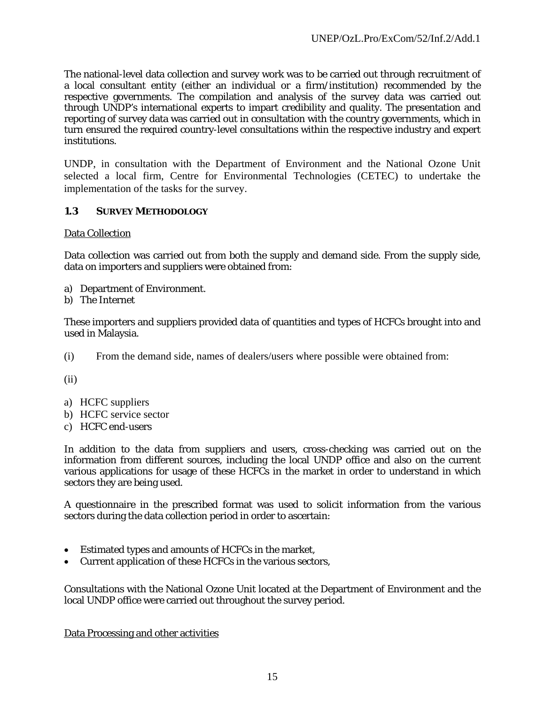The national-level data collection and survey work was to be carried out through recruitment of a local consultant entity (either an individual or a firm/institution) recommended by the respective governments. The compilation and analysis of the survey data was carried out through UNDP's international experts to impart credibility and quality. The presentation and reporting of survey data was carried out in consultation with the country governments, which in turn ensured the required country-level consultations within the respective industry and expert institutions.

UNDP, in consultation with the Department of Environment and the National Ozone Unit selected a local firm, Centre for Environmental Technologies (CETEC) to undertake the implementation of the tasks for the survey.

## **1.3 SURVEY METHODOLOGY**

#### Data Collection

Data collection was carried out from both the supply and demand side. From the supply side, data on importers and suppliers were obtained from:

- a) Department of Environment.
- b) The Internet

These importers and suppliers provided data of quantities and types of HCFCs brought into and used in Malaysia.

(i) From the demand side, names of dealers/users where possible were obtained from:

(ii)

- a) HCFC suppliers
- b) HCFC service sector
- c) HCFC end-users

In addition to the data from suppliers and users, cross-checking was carried out on the information from different sources, including the local UNDP office and also on the current various applications for usage of these HCFCs in the market in order to understand in which sectors they are being used.

A questionnaire in the prescribed format was used to solicit information from the various sectors during the data collection period in order to ascertain:

- Estimated types and amounts of HCFCs in the market,
- Current application of these HCFCs in the various sectors,

Consultations with the National Ozone Unit located at the Department of Environment and the local UNDP office were carried out throughout the survey period.

Data Processing and other activities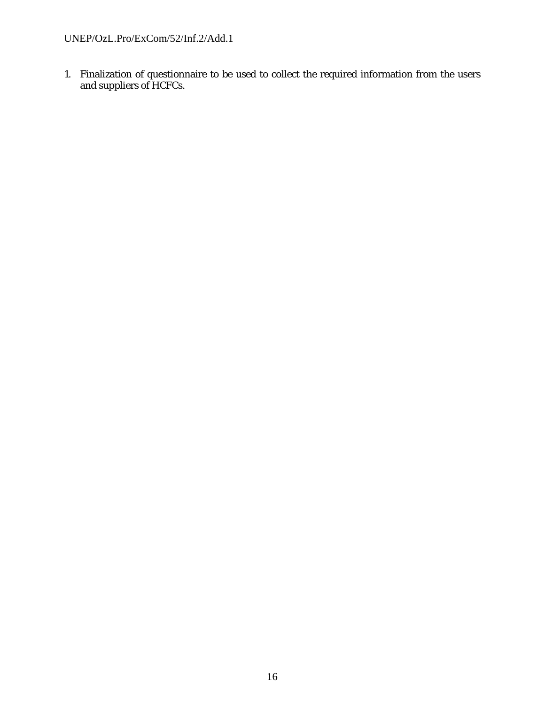1. Finalization of questionnaire to be used to collect the required information from the users and suppliers of HCFCs.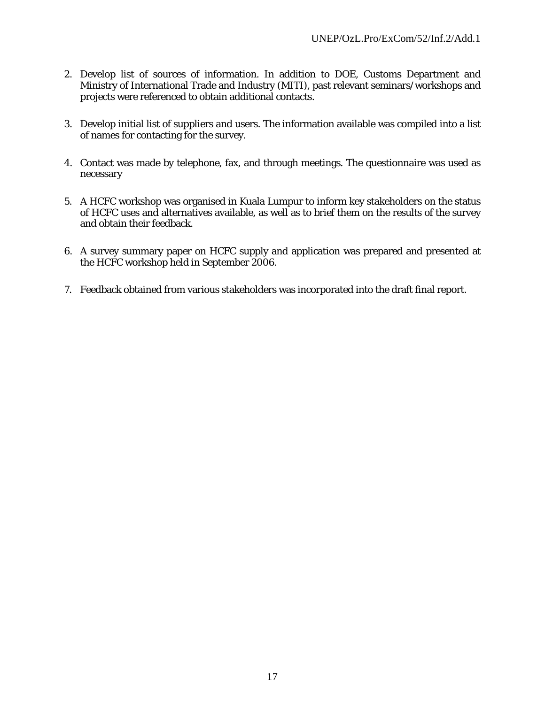- 2. Develop list of sources of information. In addition to DOE, Customs Department and Ministry of International Trade and Industry (MITI), past relevant seminars/workshops and projects were referenced to obtain additional contacts.
- 3. Develop initial list of suppliers and users. The information available was compiled into a list of names for contacting for the survey.
- 4. Contact was made by telephone, fax, and through meetings. The questionnaire was used as necessary
- 5. A HCFC workshop was organised in Kuala Lumpur to inform key stakeholders on the status of HCFC uses and alternatives available, as well as to brief them on the results of the survey and obtain their feedback.
- 6. A survey summary paper on HCFC supply and application was prepared and presented at the HCFC workshop held in September 2006.
- 7. Feedback obtained from various stakeholders was incorporated into the draft final report.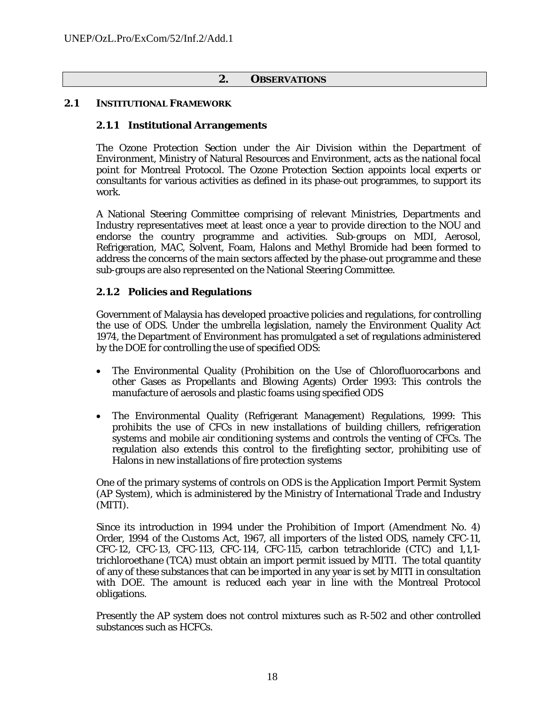#### **2. OBSERVATIONS**

#### **2.1 INSTITUTIONAL FRAMEWORK**

#### **2.1.1 Institutional Arrangements**

The Ozone Protection Section under the Air Division within the Department of Environment, Ministry of Natural Resources and Environment, acts as the national focal point for Montreal Protocol. The Ozone Protection Section appoints local experts or consultants for various activities as defined in its phase-out programmes, to support its work.

A National Steering Committee comprising of relevant Ministries, Departments and Industry representatives meet at least once a year to provide direction to the NOU and endorse the country programme and activities. Sub-groups on MDI, Aerosol, Refrigeration, MAC, Solvent, Foam, Halons and Methyl Bromide had been formed to address the concerns of the main sectors affected by the phase-out programme and these sub-groups are also represented on the National Steering Committee.

#### **2.1.2 Policies and Regulations**

Government of Malaysia has developed proactive policies and regulations, for controlling the use of ODS. Under the umbrella legislation, namely the Environment Quality Act 1974, the Department of Environment has promulgated a set of regulations administered by the DOE for controlling the use of specified ODS:

- The Environmental Quality (Prohibition on the Use of Chlorofluorocarbons and other Gases as Propellants and Blowing Agents) Order 1993: This controls the manufacture of aerosols and plastic foams using specified ODS
- The Environmental Quality (Refrigerant Management) Regulations, 1999: This prohibits the use of CFCs in new installations of building chillers, refrigeration systems and mobile air conditioning systems and controls the venting of CFCs. The regulation also extends this control to the firefighting sector, prohibiting use of Halons in new installations of fire protection systems

One of the primary systems of controls on ODS is the Application Import Permit System (AP System), which is administered by the Ministry of International Trade and Industry (MITI).

Since its introduction in 1994 under the Prohibition of Import (Amendment No. 4) Order, 1994 of the Customs Act, 1967, all importers of the listed ODS, namely CFC-11, CFC-12, CFC-13, CFC-113, CFC-114, CFC-115, carbon tetrachloride (CTC) and 1,1,1 trichloroethane (TCA) must obtain an import permit issued by MITI. The total quantity of any of these substances that can be imported in any year is set by MITI in consultation with DOE. The amount is reduced each year in line with the Montreal Protocol obligations.

Presently the AP system does not control mixtures such as R-502 and other controlled substances such as HCFCs.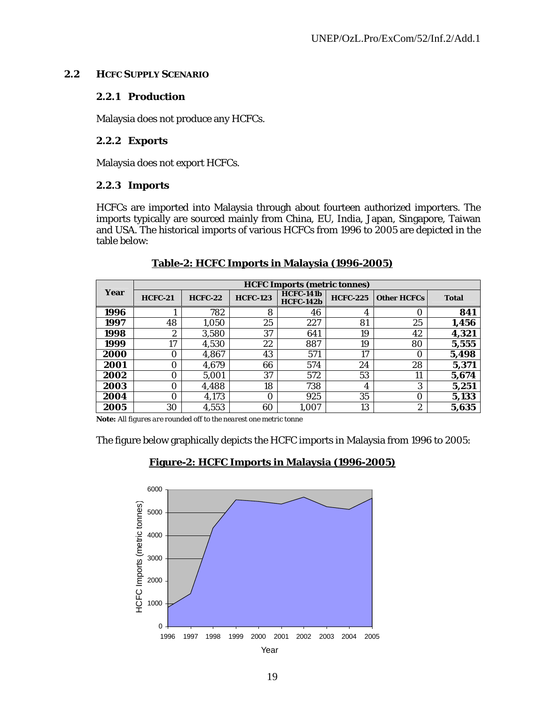#### **2.2 HCFC SUPPLY SCENARIO**

#### **2.2.1 Production**

Malaysia does not produce any HCFCs.

#### **2.2.2 Exports**

Malaysia does not export HCFCs.

#### **2.2.3 Imports**

HCFCs are imported into Malaysia through about fourteen authorized importers. The imports typically are sourced mainly from China, EU, India, Japan, Singapore, Taiwan and USA. The historical imports of various HCFCs from 1996 to 2005 are depicted in the table below:

|      | <b>HCFC Imports (metric tonnes)</b> |                |                 |                                      |                 |                    |              |
|------|-------------------------------------|----------------|-----------------|--------------------------------------|-----------------|--------------------|--------------|
| Year | <b>HCFC-21</b>                      | <b>HCFC-22</b> | <b>HCFC-123</b> | <b>HCFC-141b</b><br><b>HCFC-142b</b> | <b>HCFC-225</b> | <b>Other HCFCs</b> | <b>Total</b> |
| 1996 |                                     | 782            | 8               | 46                                   | 4               | O                  | 841          |
| 1997 | 48                                  | 1,050          | 25              | 227                                  | 81              | 25                 | 1,456        |
| 1998 | $\boldsymbol{2}$                    | 3,580          | 37              | 641                                  | 19              | 42                 | 4,321        |
| 1999 | 17                                  | 4,530          | 22              | 887                                  | 19              | 80                 | 5,555        |
| 2000 | 0                                   | 4,867          | 43              | 571                                  | 17              | 0                  | 5,498        |
| 2001 | 0                                   | 4.679          | 66              | 574                                  | 24              | 28                 | 5,371        |
| 2002 | 0                                   | 5.001          | 37              | 572                                  | 53              | 11                 | 5,674        |
| 2003 | $\Omega$                            | 4,488          | 18              | 738                                  | 4               | 3                  | 5,251        |
| 2004 | 0                                   | 4,173          | $\Omega$        | 925                                  | 35              | 0                  | 5,133        |
| 2005 | 30                                  | 4,553          | 60              | 1,007                                | 13              | 2                  | 5,635        |

#### **Table-2: HCFC Imports in Malaysia (1996-2005)**

*Note: All figures are rounded off to the nearest one metric tonne* 

The figure below graphically depicts the HCFC imports in Malaysia from 1996 to 2005:

#### **Figure-2: HCFC Imports in Malaysia (1996-2005)**

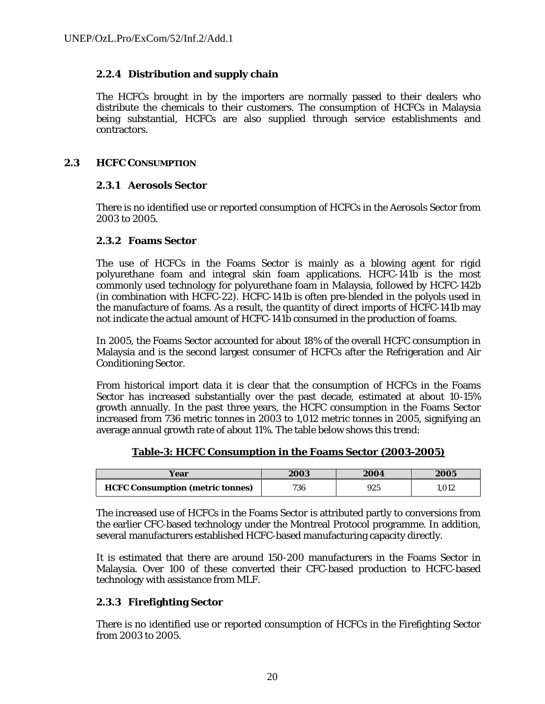## **2.2.4 Distribution and supply chain**

The HCFCs brought in by the importers are normally passed to their dealers who distribute the chemicals to their customers. The consumption of HCFCs in Malaysia being substantial, HCFCs are also supplied through service establishments and contractors.

#### **2.3 HCFC CONSUMPTION**

## **2.3.1 Aerosols Sector**

There is no identified use or reported consumption of HCFCs in the Aerosols Sector from 2003 to 2005.

#### **2.3.2 Foams Sector**

The use of HCFCs in the Foams Sector is mainly as a blowing agent for rigid polyurethane foam and integral skin foam applications. HCFC-141b is the most commonly used technology for polyurethane foam in Malaysia, followed by HCFC-142b (in combination with HCFC-22). HCFC-141b is often pre-blended in the polyols used in the manufacture of foams. As a result, the quantity of direct imports of HCFC-141b may not indicate the actual amount of HCFC-141b consumed in the production of foams.

In 2005, the Foams Sector accounted for about 18% of the overall HCFC consumption in Malaysia and is the second largest consumer of HCFCs after the Refrigeration and Air Conditioning Sector.

From historical import data it is clear that the consumption of HCFCs in the Foams Sector has increased substantially over the past decade, estimated at about 10-15% growth annually. In the past three years, the HCFC consumption in the Foams Sector increased from 736 metric tonnes in 2003 to 1,012 metric tonnes in 2005, signifying an average annual growth rate of about 11%. The table below shows this trend:

**Table-3: HCFC Consumption in the Foams Sector (2003-2005)**

| /ear                                    | 2003 | 2004 | 2005 |
|-----------------------------------------|------|------|------|
| <b>HCFC Consumption (metric tonnes)</b> | 736  | 925  | .012 |

The increased use of HCFCs in the Foams Sector is attributed partly to conversions from the earlier CFC-based technology under the Montreal Protocol programme. In addition, several manufacturers established HCFC-based manufacturing capacity directly.

It is estimated that there are around 150-200 manufacturers in the Foams Sector in Malaysia. Over 100 of these converted their CFC-based production to HCFC-based technology with assistance from MLF.

#### **2.3.3 Firefighting Sector**

There is no identified use or reported consumption of HCFCs in the Firefighting Sector from 2003 to 2005.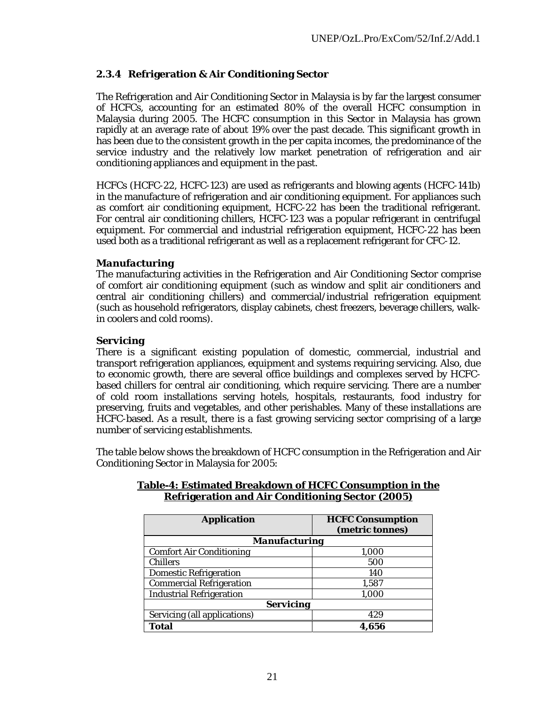## **2.3.4 Refrigeration & Air Conditioning Sector**

The Refrigeration and Air Conditioning Sector in Malaysia is by far the largest consumer of HCFCs, accounting for an estimated 80% of the overall HCFC consumption in Malaysia during 2005. The HCFC consumption in this Sector in Malaysia has grown rapidly at an average rate of about 19% over the past decade. This significant growth in has been due to the consistent growth in the per capita incomes, the predominance of the service industry and the relatively low market penetration of refrigeration and air conditioning appliances and equipment in the past.

HCFCs (HCFC-22, HCFC-123) are used as refrigerants and blowing agents (HCFC-141b) in the manufacture of refrigeration and air conditioning equipment. For appliances such as comfort air conditioning equipment, HCFC-22 has been the traditional refrigerant. For central air conditioning chillers, HCFC-123 was a popular refrigerant in centrifugal equipment. For commercial and industrial refrigeration equipment, HCFC-22 has been used both as a traditional refrigerant as well as a replacement refrigerant for CFC-12.

#### *Manufacturing*

The manufacturing activities in the Refrigeration and Air Conditioning Sector comprise of comfort air conditioning equipment (such as window and split air conditioners and central air conditioning chillers) and commercial/industrial refrigeration equipment (such as household refrigerators, display cabinets, chest freezers, beverage chillers, walkin coolers and cold rooms).

#### *Servicing*

There is a significant existing population of domestic, commercial, industrial and transport refrigeration appliances, equipment and systems requiring servicing. Also, due to economic growth, there are several office buildings and complexes served by HCFCbased chillers for central air conditioning, which require servicing. There are a number of cold room installations serving hotels, hospitals, restaurants, food industry for preserving, fruits and vegetables, and other perishables. Many of these installations are HCFC-based. As a result, there is a fast growing servicing sector comprising of a large number of servicing establishments.

The table below shows the breakdown of HCFC consumption in the Refrigeration and Air Conditioning Sector in Malaysia for 2005:

| <b>Application</b>              | <b>HCFC Consumption</b><br>(metric tonnes) |  |  |  |  |
|---------------------------------|--------------------------------------------|--|--|--|--|
| <b>Manufacturing</b>            |                                            |  |  |  |  |
| <b>Comfort Air Conditioning</b> | 1,000                                      |  |  |  |  |
| <b>Chillers</b>                 | 500                                        |  |  |  |  |
| <b>Domestic Refrigeration</b>   | 140                                        |  |  |  |  |
| <b>Commercial Refrigeration</b> | 1,587                                      |  |  |  |  |
| <b>Industrial Refrigeration</b> | 1,000                                      |  |  |  |  |
| <b>Servicing</b>                |                                            |  |  |  |  |
| Servicing (all applications)    | 429                                        |  |  |  |  |
| Total                           | 4,656                                      |  |  |  |  |

#### **Table-4: Estimated Breakdown of HCFC Consumption in the Refrigeration and Air Conditioning Sector (2005)**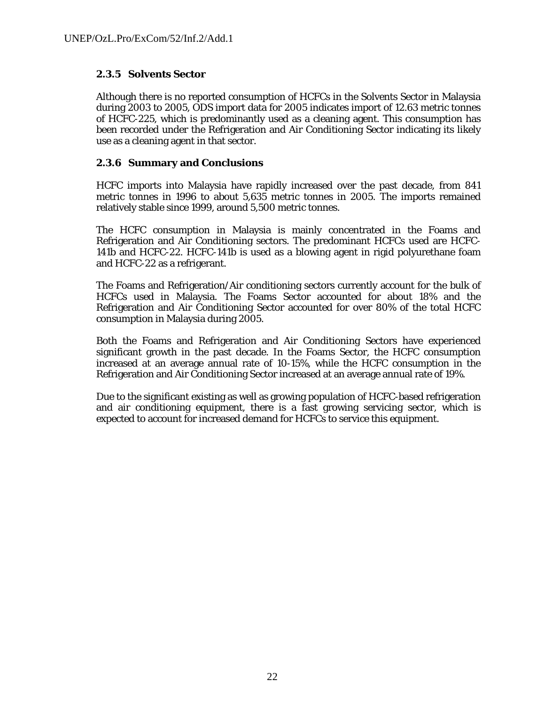## **2.3.5 Solvents Sector**

Although there is no reported consumption of HCFCs in the Solvents Sector in Malaysia during 2003 to 2005, ODS import data for 2005 indicates import of 12.63 metric tonnes of HCFC-225, which is predominantly used as a cleaning agent. This consumption has been recorded under the Refrigeration and Air Conditioning Sector indicating its likely use as a cleaning agent in that sector.

#### **2.3.6 Summary and Conclusions**

HCFC imports into Malaysia have rapidly increased over the past decade, from 841 metric tonnes in 1996 to about 5,635 metric tonnes in 2005. The imports remained relatively stable since 1999, around 5,500 metric tonnes.

The HCFC consumption in Malaysia is mainly concentrated in the Foams and Refrigeration and Air Conditioning sectors. The predominant HCFCs used are HCFC-141b and HCFC-22. HCFC-141b is used as a blowing agent in rigid polyurethane foam and HCFC-22 as a refrigerant.

The Foams and Refrigeration/Air conditioning sectors currently account for the bulk of HCFCs used in Malaysia. The Foams Sector accounted for about 18% and the Refrigeration and Air Conditioning Sector accounted for over 80% of the total HCFC consumption in Malaysia during 2005.

Both the Foams and Refrigeration and Air Conditioning Sectors have experienced significant growth in the past decade. In the Foams Sector, the HCFC consumption increased at an average annual rate of 10-15%, while the HCFC consumption in the Refrigeration and Air Conditioning Sector increased at an average annual rate of 19%.

Due to the significant existing as well as growing population of HCFC-based refrigeration and air conditioning equipment, there is a fast growing servicing sector, which is expected to account for increased demand for HCFCs to service this equipment.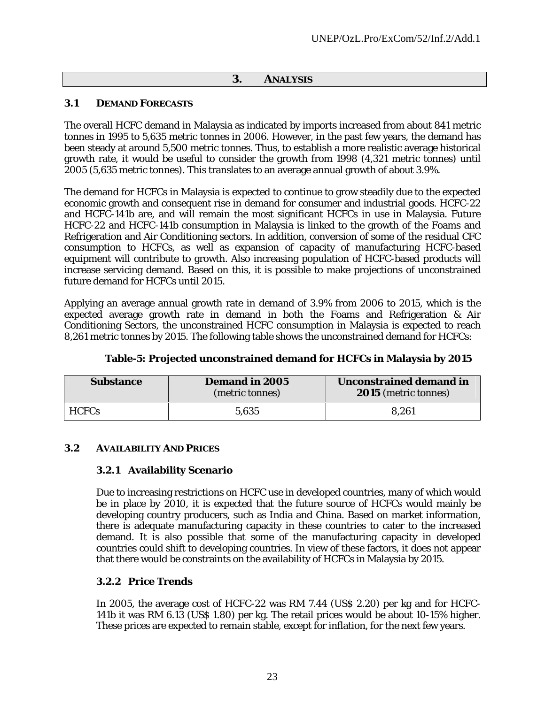#### **3. ANALYSIS**

#### **3.1 DEMAND FORECASTS**

The overall HCFC demand in Malaysia as indicated by imports increased from about 841 metric tonnes in 1995 to 5,635 metric tonnes in 2006. However, in the past few years, the demand has been steady at around 5,500 metric tonnes. Thus, to establish a more realistic average historical growth rate, it would be useful to consider the growth from 1998 (4,321 metric tonnes) until 2005 (5,635 metric tonnes). This translates to an average annual growth of about 3.9%.

The demand for HCFCs in Malaysia is expected to continue to grow steadily due to the expected economic growth and consequent rise in demand for consumer and industrial goods. HCFC-22 and HCFC-141b are, and will remain the most significant HCFCs in use in Malaysia. Future HCFC-22 and HCFC-141b consumption in Malaysia is linked to the growth of the Foams and Refrigeration and Air Conditioning sectors. In addition, conversion of some of the residual CFC consumption to HCFCs, as well as expansion of capacity of manufacturing HCFC-based equipment will contribute to growth. Also increasing population of HCFC-based products will increase servicing demand. Based on this, it is possible to make projections of unconstrained future demand for HCFCs until 2015.

Applying an average annual growth rate in demand of 3.9% from 2006 to 2015, which is the expected average growth rate in demand in both the Foams and Refrigeration & Air Conditioning Sectors, the unconstrained HCFC consumption in Malaysia is expected to reach 8,261 metric tonnes by 2015. The following table shows the unconstrained demand for HCFCs:

| <b>Substance</b> | <b>Demand in 2005</b><br>(metric tonnes) | Unconstrained demand in<br><b>2015</b> (metric tonnes) |  |
|------------------|------------------------------------------|--------------------------------------------------------|--|
| <b>HCFCs</b>     | 5,635                                    | 8,261                                                  |  |

#### **Table-5: Projected unconstrained demand for HCFCs in Malaysia by 2015**

#### **3.2 AVAILABILITY AND PRICES**

#### **3.2.1 Availability Scenario**

Due to increasing restrictions on HCFC use in developed countries, many of which would be in place by 2010, it is expected that the future source of HCFCs would mainly be developing country producers, such as India and China. Based on market information, there is adequate manufacturing capacity in these countries to cater to the increased demand. It is also possible that some of the manufacturing capacity in developed countries could shift to developing countries. In view of these factors, it does not appear that there would be constraints on the availability of HCFCs in Malaysia by 2015.

#### **3.2.2 Price Trends**

In 2005, the average cost of HCFC-22 was RM 7.44 (US\$ 2.20) per kg and for HCFC-141b it was RM 6.13 (US\$ 1.80) per kg. The retail prices would be about 10-15% higher. These prices are expected to remain stable, except for inflation, for the next few years.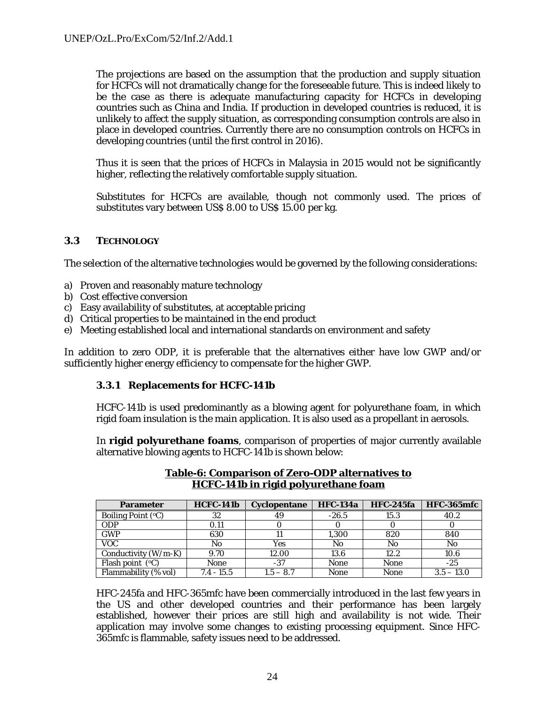The projections are based on the assumption that the production and supply situation for HCFCs will not dramatically change for the foreseeable future. This is indeed likely to be the case as there is adequate manufacturing capacity for HCFCs in developing countries such as China and India. If production in developed countries is reduced, it is unlikely to affect the supply situation, as corresponding consumption controls are also in place in developed countries. Currently there are no consumption controls on HCFCs in developing countries (until the first control in 2016).

Thus it is seen that the prices of HCFCs in Malaysia in 2015 would not be significantly higher, reflecting the relatively comfortable supply situation.

Substitutes for HCFCs are available, though not commonly used. The prices of substitutes vary between US\$ 8.00 to US\$ 15.00 per kg.

#### **3.3 TECHNOLOGY**

The selection of the alternative technologies would be governed by the following considerations:

- a) Proven and reasonably mature technology
- b) Cost effective conversion
- c) Easy availability of substitutes, at acceptable pricing
- d) Critical properties to be maintained in the end product
- e) Meeting established local and international standards on environment and safety

In addition to zero ODP, it is preferable that the alternatives either have low GWP and/or sufficiently higher energy efficiency to compensate for the higher GWP.

#### **3.3.1 Replacements for HCFC-141b**

HCFC-141b is used predominantly as a blowing agent for polyurethane foam, in which rigid foam insulation is the main application. It is also used as a propellant in aerosols.

In **rigid polyurethane foams**, comparison of properties of major currently available alternative blowing agents to HCFC-141b is shown below:

| <b>Parameter</b>              | <b>HCFC-141b</b> | <b>Cyclopentane</b> | <b>HFC-134a</b> | <b>HFC-245fa</b> | <b>HFC-365mfc</b> |
|-------------------------------|------------------|---------------------|-----------------|------------------|-------------------|
| Boiling Point $({}^{\circ}C)$ | 32               | 49                  | $-26.5$         | 15.3             | 40.2              |
| <b>ODP</b>                    | 0.11             |                     |                 |                  |                   |
| <b>GWP</b>                    | 630              |                     | 1,300           | 820              | 840               |
| <b>VOC</b>                    | No               | Yes                 | No              | No               | No                |
| Conductivity $(W/m-K)$        | 9.70             | 12.00               | 13.6            | 12.2             | 10.6              |
| Flash point $(°C)$            | None             | $-37$               | None            | None             | -25               |
| Flammability (% vol)          | $7.4 - 15.5$     | $1.5 - 8.7$         | None            | None             | $3.5 - 13.0$      |

**Table-6: Comparison of Zero-ODP alternatives to HCFC-141b in rigid polyurethane foam**

HFC-245fa and HFC-365mfc have been commercially introduced in the last few years in the US and other developed countries and their performance has been largely established, however their prices are still high and availability is not wide. Their application may involve some changes to existing processing equipment. Since HFC-365mfc is flammable, safety issues need to be addressed.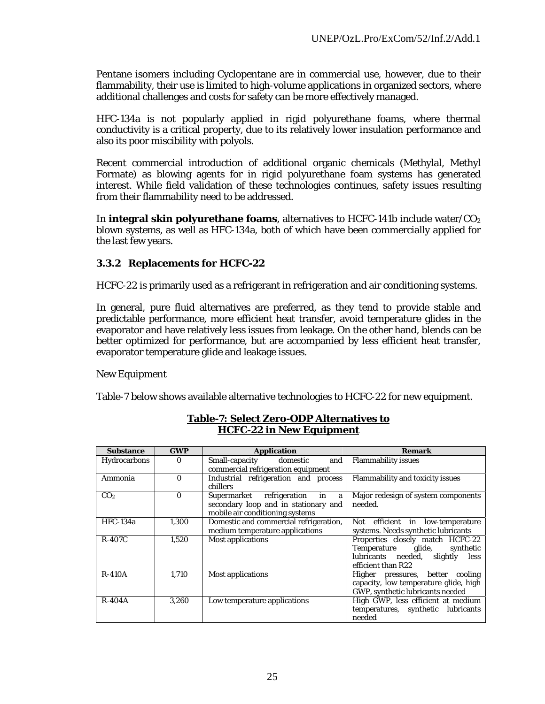Pentane isomers including Cyclopentane are in commercial use, however, due to their flammability, their use is limited to high-volume applications in organized sectors, where additional challenges and costs for safety can be more effectively managed.

HFC-134a is not popularly applied in rigid polyurethane foams, where thermal conductivity is a critical property, due to its relatively lower insulation performance and also its poor miscibility with polyols.

Recent commercial introduction of additional organic chemicals (Methylal, Methyl Formate) as blowing agents for in rigid polyurethane foam systems has generated interest. While field validation of these technologies continues, safety issues resulting from their flammability need to be addressed.

In **integral skin polyurethane foams**, alternatives to HCFC-141b include water/ $CO<sub>2</sub>$ blown systems, as well as HFC-134a, both of which have been commercially applied for the last few years.

#### **3.3.2 Replacements for HCFC-22**

HCFC-22 is primarily used as a refrigerant in refrigeration and air conditioning systems.

In general, pure fluid alternatives are preferred, as they tend to provide stable and predictable performance, more efficient heat transfer, avoid temperature glides in the evaporator and have relatively less issues from leakage. On the other hand, blends can be better optimized for performance, but are accompanied by less efficient heat transfer, evaporator temperature glide and leakage issues.

#### New Equipment

Table-7 below shows available alternative technologies to HCFC-22 for new equipment.

| <b>Substance</b> | <b>GWP</b> | <b>Application</b>                                                                                                 | <b>Remark</b>                                                                                                                    |
|------------------|------------|--------------------------------------------------------------------------------------------------------------------|----------------------------------------------------------------------------------------------------------------------------------|
| Hydrocarbons     | $\Omega$   | Small-capacity domestic<br>and<br>commercial refrigeration equipment                                               | <b>Flammability issues</b>                                                                                                       |
| Ammonia          | $\Omega$   | Industrial refrigeration and process<br>chillers                                                                   | <b>Flammability and toxicity issues</b>                                                                                          |
| CO <sub>2</sub>  | $\Omega$   | Supermarket<br>in<br>refrigeration<br>a<br>secondary loop and in stationary and<br>mobile air conditioning systems | Major redesign of system components<br>needed.                                                                                   |
| <b>HFC-134a</b>  | 1,300      | Domestic and commercial refrigeration,<br>medium temperature applications                                          | Not efficient in low-temperature<br>systems. Needs synthetic lubricants                                                          |
| <b>R-407C</b>    | 1,520      | <b>Most applications</b>                                                                                           | Properties closely match HCFC-22<br>Temperature glide,<br>synthetic<br>lubricants needed, slightly<br>less<br>efficient than R22 |
| <b>R-410A</b>    | 1,710      | <b>Most applications</b>                                                                                           | Higher pressures, better cooling<br>capacity, low temperature glide, high<br>GWP, synthetic lubricants needed                    |
| $R-404A$         | 3.260      | Low temperature applications                                                                                       | High GWP, less efficient at medium<br>temperatures, synthetic lubricants<br>needed                                               |

#### **Table-7: Select Zero-ODP Alternatives to HCFC-22 in New Equipment**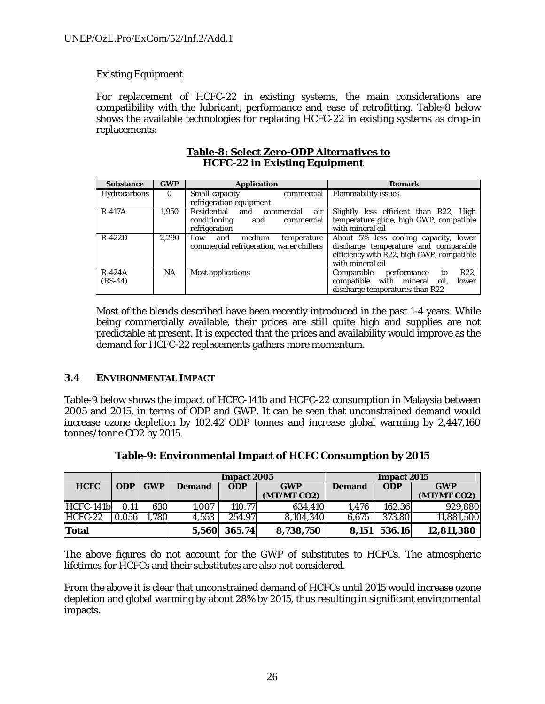## Existing Equipment

For replacement of HCFC-22 in existing systems, the main considerations are compatibility with the lubricant, performance and ease of retrofitting. Table-8 below shows the available technologies for replacing HCFC-22 in existing systems as drop-in replacements:

| <b>Substance</b>    | <b>GWP</b> | <b>Application</b>                       | Remark                                               |
|---------------------|------------|------------------------------------------|------------------------------------------------------|
| <b>Hydrocarbons</b> | $\Omega$   | commercial<br>Small-capacity             | <b>Flammability issues</b>                           |
|                     |            | refrigeration equipment                  |                                                      |
| <b>R-417A</b>       | 1,950      | Residential<br>air<br>commercial<br>and  | Slightly less efficient than R22, High               |
|                     |            | conditioning<br>commercial<br>and        | temperature glide, high GWP, compatible              |
|                     |            | refrigeration                            | with mineral oil                                     |
| $R-422D$            | 2,290      | medium<br>and<br>temperature<br>Low      | About 5% less cooling capacity, lower                |
|                     |            | commercial refrigeration, water chillers | discharge temperature and comparable                 |
|                     |            |                                          | efficiency with R22, high GWP, compatible            |
|                     |            |                                          | with mineral oil                                     |
| $R-424A$            | NA.        | <b>Most applications</b>                 | R <sub>22</sub> .<br>performance<br>Comparable<br>to |
| $(RS-44)$           |            |                                          | compatible with mineral oil,<br>lower                |
|                     |            |                                          | discharge temperatures than R22                      |

#### **Table-8: Select Zero-ODP Alternatives to HCFC-22 in Existing Equipment**

Most of the blends described have been recently introduced in the past 1-4 years. While being commercially available, their prices are still quite high and supplies are not predictable at present. It is expected that the prices and availability would improve as the demand for HCFC-22 replacements gathers more momentum.

#### **3.4 ENVIRONMENTAL IMPACT**

Table-9 below shows the impact of HCFC-141b and HCFC-22 consumption in Malaysia between 2005 and 2015, in terms of ODP and GWP. It can be seen that unconstrained demand would increase ozone depletion by 102.42 ODP tonnes and increase global warming by 2,447,160 tonnes/tonne CO2 by 2015.

|              |            |            | <b>Impact 2005</b> |            |             | Impact 2015   |            |             |
|--------------|------------|------------|--------------------|------------|-------------|---------------|------------|-------------|
| <b>HCFC</b>  | <b>ODP</b> | <b>GWP</b> | <b>Demand</b>      | <b>ODP</b> | <b>GWP</b>  | <b>Demand</b> | <b>ODP</b> | <b>GWP</b>  |
|              |            |            |                    |            | (MT/MT CO2) |               |            | (MT/MT CO2) |
| $HCFC-141b$  | 0.11       | 630        | 1,007              | 110.77     | 634,410     | 1.476         | 162.36     | 929,880     |
| $HCFC-22$    | 0.056      | .780       | 4,553              | 254.97     | 8,104,340   | 6.675         | 373.80     | 11,881,500  |
| <b>Total</b> |            |            | 5.560              | 365.74     | 8,738,750   | 8.151         | 536.16     | 12,811,380  |

**Table-9: Environmental Impact of HCFC Consumption by 2015**

The above figures do not account for the GWP of substitutes to HCFCs. The atmospheric lifetimes for HCFCs and their substitutes are also not considered.

From the above it is clear that unconstrained demand of HCFCs until 2015 would increase ozone depletion and global warming by about 28% by 2015, thus resulting in significant environmental impacts.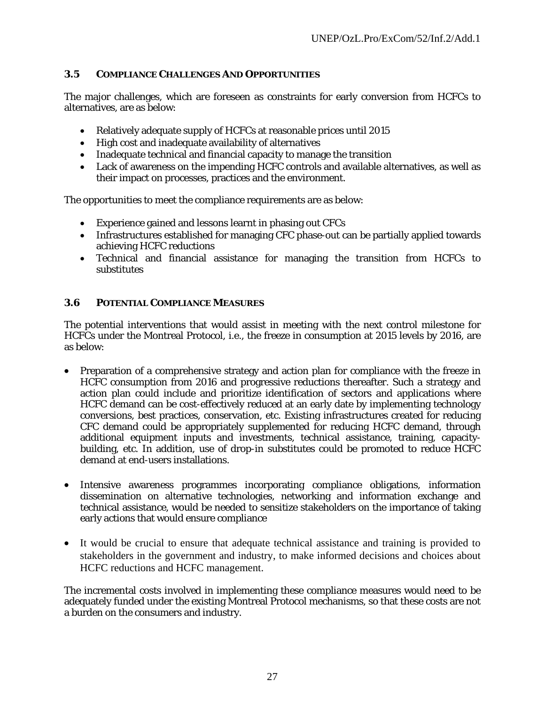## **3.5 COMPLIANCE CHALLENGES AND OPPORTUNITIES**

The major challenges, which are foreseen as constraints for early conversion from HCFCs to alternatives, are as below:

- Relatively adequate supply of HCFCs at reasonable prices until 2015
- High cost and inadequate availability of alternatives
- Inadequate technical and financial capacity to manage the transition
- Lack of awareness on the impending HCFC controls and available alternatives, as well as their impact on processes, practices and the environment.

The opportunities to meet the compliance requirements are as below:

- Experience gained and lessons learnt in phasing out CFCs
- Infrastructures established for managing CFC phase-out can be partially applied towards achieving HCFC reductions
- Technical and financial assistance for managing the transition from HCFCs to substitutes

## **3.6 POTENTIAL COMPLIANCE MEASURES**

The potential interventions that would assist in meeting with the next control milestone for HCFCs under the Montreal Protocol, i.e., the freeze in consumption at 2015 levels by 2016, are as below:

- Preparation of a comprehensive strategy and action plan for compliance with the freeze in HCFC consumption from 2016 and progressive reductions thereafter. Such a strategy and action plan could include and prioritize identification of sectors and applications where HCFC demand can be cost-effectively reduced at an early date by implementing technology conversions, best practices, conservation, etc. Existing infrastructures created for reducing CFC demand could be appropriately supplemented for reducing HCFC demand, through additional equipment inputs and investments, technical assistance, training, capacitybuilding, etc. In addition, use of drop-in substitutes could be promoted to reduce HCFC demand at end-users installations.
- Intensive awareness programmes incorporating compliance obligations, information dissemination on alternative technologies, networking and information exchange and technical assistance, would be needed to sensitize stakeholders on the importance of taking early actions that would ensure compliance
- It would be crucial to ensure that adequate technical assistance and training is provided to stakeholders in the government and industry, to make informed decisions and choices about HCFC reductions and HCFC management.

The incremental costs involved in implementing these compliance measures would need to be adequately funded under the existing Montreal Protocol mechanisms, so that these costs are not a burden on the consumers and industry.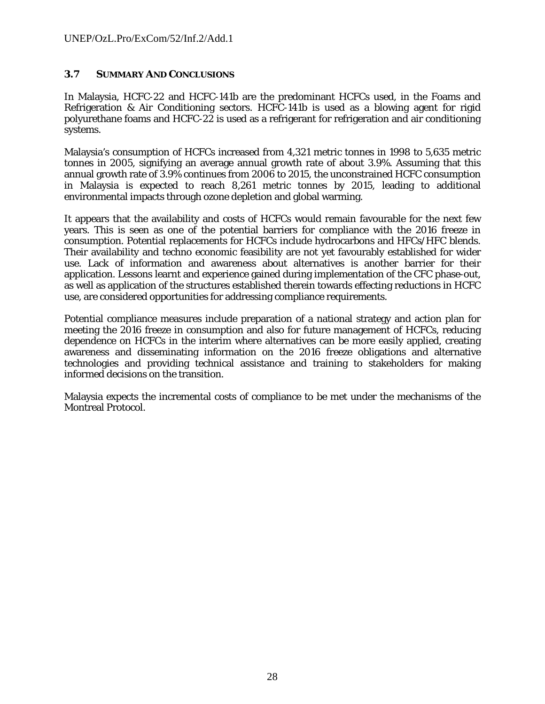#### **3.7 SUMMARY AND CONCLUSIONS**

In Malaysia, HCFC-22 and HCFC-141b are the predominant HCFCs used, in the Foams and Refrigeration & Air Conditioning sectors. HCFC-141b is used as a blowing agent for rigid polyurethane foams and HCFC-22 is used as a refrigerant for refrigeration and air conditioning systems.

Malaysia's consumption of HCFCs increased from 4,321 metric tonnes in 1998 to 5,635 metric tonnes in 2005, signifying an average annual growth rate of about 3.9%. Assuming that this annual growth rate of 3.9% continues from 2006 to 2015, the unconstrained HCFC consumption in Malaysia is expected to reach 8,261 metric tonnes by 2015, leading to additional environmental impacts through ozone depletion and global warming.

It appears that the availability and costs of HCFCs would remain favourable for the next few years. This is seen as one of the potential barriers for compliance with the 2016 freeze in consumption. Potential replacements for HCFCs include hydrocarbons and HFCs/HFC blends. Their availability and techno economic feasibility are not yet favourably established for wider use. Lack of information and awareness about alternatives is another barrier for their application. Lessons learnt and experience gained during implementation of the CFC phase-out, as well as application of the structures established therein towards effecting reductions in HCFC use, are considered opportunities for addressing compliance requirements.

Potential compliance measures include preparation of a national strategy and action plan for meeting the 2016 freeze in consumption and also for future management of HCFCs, reducing dependence on HCFCs in the interim where alternatives can be more easily applied, creating awareness and disseminating information on the 2016 freeze obligations and alternative technologies and providing technical assistance and training to stakeholders for making informed decisions on the transition.

Malaysia expects the incremental costs of compliance to be met under the mechanisms of the Montreal Protocol.